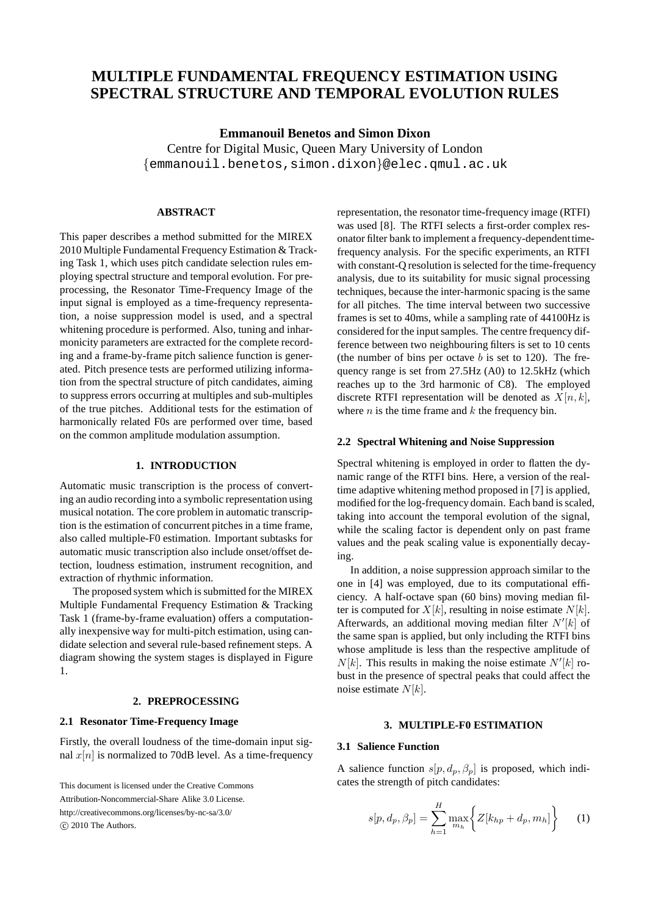# **MULTIPLE FUNDAMENTAL FREQUENCY ESTIMATION USING SPECTRAL STRUCTURE AND TEMPORAL EVOLUTION RULES**

**Emmanouil Benetos and Simon Dixon** Centre for Digital Music, Queen Mary University of London {emmanouil.benetos,simon.dixon}@elec.qmul.ac.uk

## **ABSTRACT**

This paper describes a method submitted for the MIREX 2010 Multiple Fundamental Frequency Estimation & Tracking Task 1, which uses pitch candidate selection rules employing spectral structure and temporal evolution. For preprocessing, the Resonator Time-Frequency Image of the input signal is employed as a time-frequency representation, a noise suppression model is used, and a spectral whitening procedure is performed. Also, tuning and inharmonicity parameters are extracted for the complete recording and a frame-by-frame pitch salience function is generated. Pitch presence tests are performed utilizing information from the spectral structure of pitch candidates, aiming to suppress errors occurring at multiples and sub-multiples of the true pitches. Additional tests for the estimation of harmonically related F0s are performed over time, based on the common amplitude modulation assumption.

## **1. INTRODUCTION**

Automatic music transcription is the process of converting an audio recording into a symbolic representation using musical notation. The core problem in automatic transcription is the estimation of concurrent pitches in a time frame, also called multiple-F0 estimation. Important subtasks for automatic music transcription also include onset/offset detection, loudness estimation, instrument recognition, and extraction of rhythmic information.

The proposed system which is submitted for the MIREX Multiple Fundamental Frequency Estimation & Tracking Task 1 (frame-by-frame evaluation) offers a computationally inexpensive way for multi-pitch estimation, using candidate selection and several rule-based refinement steps. A diagram showing the system stages is displayed in Figure 1.

#### **2. PREPROCESSING**

## **2.1 Resonator Time-Frequency Image**

Firstly, the overall loudness of the time-domain input signal  $x[n]$  is normalized to 70dB level. As a time-frequency

This document is licensed under the Creative Commons Attribution-Noncommercial-Share Alike 3.0 License. http://creativecommons.org/licenses/by-nc-sa/3.0/  $(c)$  2010 The Authors.

representation, the resonator time-frequency image (RTFI) was used [8]. The RTFI selects a first-order complex resonator filter bank to implement a frequency-dependenttimefrequency analysis. For the specific experiments, an RTFI with constant-Q resolution is selected for the time-frequency analysis, due to its suitability for music signal processing techniques, because the inter-harmonic spacing is the same for all pitches. The time interval between two successive frames is set to 40ms, while a sampling rate of 44100Hz is considered for the input samples. The centre frequency difference between two neighbouring filters is set to 10 cents (the number of bins per octave  $b$  is set to 120). The frequency range is set from 27.5Hz (A0) to 12.5kHz (which reaches up to the 3rd harmonic of C8). The employed discrete RTFI representation will be denoted as  $X[n, k]$ , where  $n$  is the time frame and  $k$  the frequency bin.

#### **2.2 Spectral Whitening and Noise Suppression**

Spectral whitening is employed in order to flatten the dynamic range of the RTFI bins. Here, a version of the realtime adaptive whitening method proposed in [7] is applied, modified for the log-frequency domain. Each band is scaled, taking into account the temporal evolution of the signal, while the scaling factor is dependent only on past frame values and the peak scaling value is exponentially decaying.

In addition, a noise suppression approach similar to the one in [4] was employed, due to its computational efficiency. A half-octave span (60 bins) moving median filter is computed for  $X[k]$ , resulting in noise estimate  $N[k]$ . Afterwards, an additional moving median filter  $N'[k]$  of the same span is applied, but only including the RTFI bins whose amplitude is less than the respective amplitude of  $N[k]$ . This results in making the noise estimate  $N'[k]$  robust in the presence of spectral peaks that could affect the noise estimate  $N[k]$ .

## **3. MULTIPLE-F0 ESTIMATION**

### **3.1 Salience Function**

A salience function  $s[p, d_p, \beta_p]$  is proposed, which indicates the strength of pitch candidates:

$$
s[p, d_p, \beta_p] = \sum_{h=1}^{H} \max_{m_h} \left\{ Z[k_{hp} + d_p, m_h] \right\}
$$
 (1)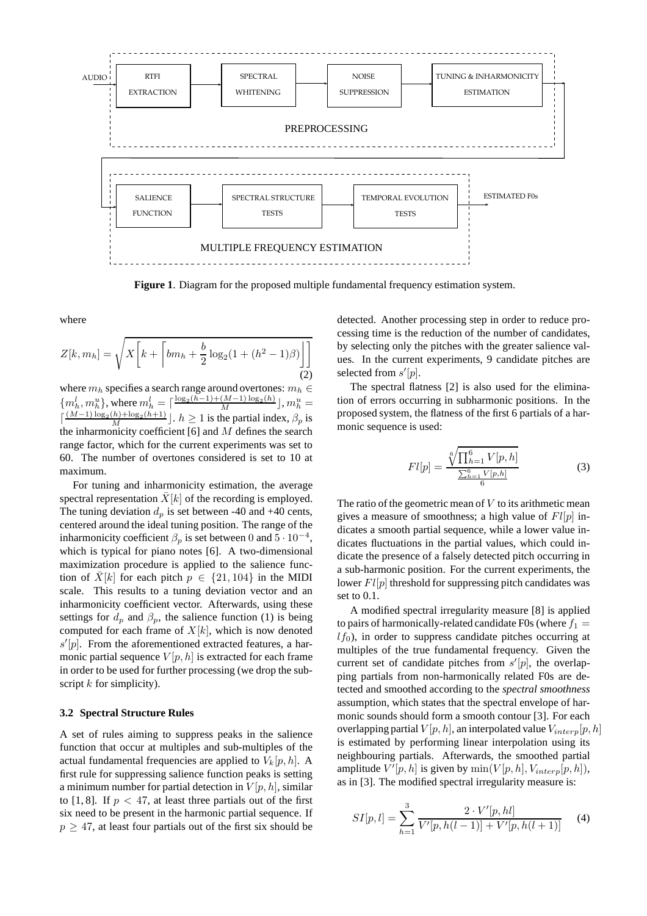

**Figure 1**. Diagram for the proposed multiple fundamental frequency estimation system.

where

$$
Z[k, m_h] = \sqrt{X\left[k + \left[bm_h + \frac{b}{2}\log_2(1 + (h^2 - 1)\beta)\right]\right]}
$$
(2)

where  $m_h$  specifies a search range around overtones:  $m_h \in$  $\{m_h^l, m_h^u\}$ , where  $m_h^l = \lceil \frac{\log_2(h-1)+(M-1)\log_2(h)}{M} \rfloor, m_h^u =$  $\lceil \frac{(M-1)\log_2(h)+\log_2(h+1)}{M} \rfloor$ .  $h \ge 1$  is the partial index,  $\beta_p$  is the inharmonicity coefficient  $[6]$  and  $M$  defines the search range factor, which for the current experiments was set to 60. The number of overtones considered is set to 10 at maximum.

For tuning and inharmonicity estimation, the average spectral representation  $X[k]$  of the recording is employed. The tuning deviation  $d_p$  is set between -40 and +40 cents, centered around the ideal tuning position. The range of the inharmonicity coefficient  $\beta_p$  is set between 0 and  $\overline{5} \cdot 10^{-4}$ , which is typical for piano notes [6]. A two-dimensional maximization procedure is applied to the salience function of  $\bar{X}[k]$  for each pitch  $p \in \{21, 104\}$  in the MIDI scale. This results to a tuning deviation vector and an inharmonicity coefficient vector. Afterwards, using these settings for  $d_p$  and  $\beta_p$ , the salience function (1) is being computed for each frame of  $X[k]$ , which is now denoted  $s'[p]$ . From the aforementioned extracted features, a harmonic partial sequence  $V[p, h]$  is extracted for each frame in order to be used for further processing (we drop the subscript  $k$  for simplicity).

### **3.2 Spectral Structure Rules**

A set of rules aiming to suppress peaks in the salience function that occur at multiples and sub-multiples of the actual fundamental frequencies are applied to  $V_k[p, h]$ . A first rule for suppressing salience function peaks is setting a minimum number for partial detection in  $V[p, h]$ , similar to [1, 8]. If  $p < 47$ , at least three partials out of the first six need to be present in the harmonic partial sequence. If  $p \geq 47$ , at least four partials out of the first six should be detected. Another processing step in order to reduce processing time is the reduction of the number of candidates, by selecting only the pitches with the greater salience values. In the current experiments, 9 candidate pitches are selected from  $s'[p]$ .

The spectral flatness [2] is also used for the elimination of errors occurring in subharmonic positions. In the proposed system, the flatness of the first 6 partials of a harmonic sequence is used:

$$
Fl[p] = \frac{\sqrt[6]{\prod_{h=1}^{6} V[p, h]}}{\frac{\sum_{h=1}^{6} V[p, h]}{6}}
$$
(3)

The ratio of the geometric mean of  $V$  to its arithmetic mean gives a measure of smoothness; a high value of  $Fl[p]$  indicates a smooth partial sequence, while a lower value indicates fluctuations in the partial values, which could indicate the presence of a falsely detected pitch occurring in a sub-harmonic position. For the current experiments, the lower  $Fl[p]$  threshold for suppressing pitch candidates was set to 0.1.

A modified spectral irregularity measure [8] is applied to pairs of harmonically-related candidate F0s (where  $f_1 =$  $l f_0$ ), in order to suppress candidate pitches occurring at multiples of the true fundamental frequency. Given the current set of candidate pitches from  $s'[p]$ , the overlapping partials from non-harmonically related F0s are detected and smoothed according to the *spectral smoothness* assumption, which states that the spectral envelope of harmonic sounds should form a smooth contour [3]. For each overlapping partial  $V[p, h]$ , an interpolated value  $V_{interp}[p, h]$ is estimated by performing linear interpolation using its neighbouring partials. Afterwards, the smoothed partial amplitude  $V'[p, h]$  is given by  $\min(V[p, h], V_{interp}[p, h]),$ as in [3]. The modified spectral irregularity measure is:

$$
SI[p,l] = \sum_{h=1}^{3} \frac{2 \cdot V'[p, hl]}{V'[p, h(l-1)] + V'[p, h(l+1)]}
$$
 (4)